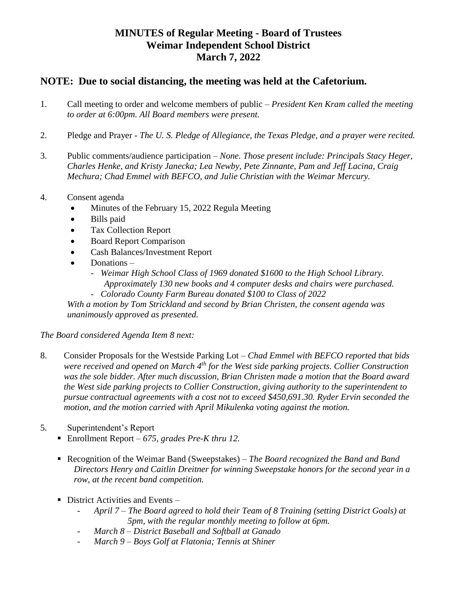## **MINUTES of Regular Meeting - Board of Trustees Weimar Independent School District March 7, 2022**

## **NOTE: Due to social distancing, the meeting was held at the Cafetorium.**

- 1. Call meeting to order and welcome members of public *President Ken Kram called the meeting to order at 6:00pm. All Board members were present.*
- 2. Pledge and Prayer *The U. S. Pledge of Allegiance, the Texas Pledge, and a prayer were recited.*
- 3. Public comments/audience participation *None. Those present include: Principals Stacy Heger, Charles Henke, and Kristy Janecka; Lea Newby, Pete Zinnante, Pam and Jeff Lacina, Craig Mechura; Chad Emmel with BEFCO, and Julie Christian with the Weimar Mercury.*
- 4. Consent agenda
	- Minutes of the February 15, 2022 Regula Meeting
	- Bills paid
	- Tax Collection Report
	- Board Report Comparison
	- Cash Balances/Investment Report
	- Donations
		- *Weimar High School Class of 1969 donated \$1600 to the High School Library. Approximately 130 new books and 4 computer desks and chairs were purchased.*
		- *Colorado County Farm Bureau donated \$100 to Class of 2022*

*With a motion by Tom Strickland and second by Brian Christen, the consent agenda was unanimously approved as presented.*

*The Board considered Agenda Item 8 next:*

- 8. Consider Proposals for the Westside Parking Lot *Chad Emmel with BEFCO reported that bids were received and opened on March 4th for the West side parking projects. Collier Construction*  was the sole bidder. After much discussion, Brian Christen made a motion that the Board award *the West side parking projects to Collier Construction, giving authority to the superintendent to pursue contractual agreements with a cost not to exceed \$450,691.30. Ryder Ervin seconded the motion, and the motion carried with April Mikulenka voting against the motion.*
- 5. Superintendent's Report
	- Enrollment Report  *675, grades Pre-K thru 12.*
	- Recognition of the Weimar Band (Sweepstakes) *The Board recognized the Band and Band Directors Henry and Caitlin Dreitner for winning Sweepstake honors for the second year in a row, at the recent band competition.*
	- $\blacksquare$  District Activities and Events
		- *April 7 – The Board agreed to hold their Team of 8 Training (setting District Goals) at 5pm, with the regular monthly meeting to follow at 6pm.*
		- *March 8 – District Baseball and Softball at Ganado*
		- *March 9 – Boys Golf at Flatonia; Tennis at Shiner*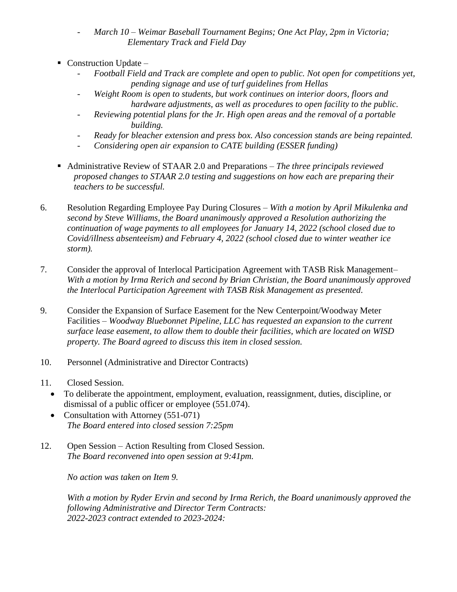- *March 10 – Weimar Baseball Tournament Begins; One Act Play, 2pm in Victoria; Elementary Track and Field Day*
- $\blacksquare$  Construction Update
	- *Football Field and Track are complete and open to public. Not open for competitions yet, pending signage and use of turf guidelines from Hellas*
	- Weight Room is open to students, but work continues on interior doors, floors and *hardware adjustments, as well as procedures to open facility to the public.*
	- *Reviewing potential plans for the Jr. High open areas and the removal of a portable building.*
	- *Ready for bleacher extension and press box. Also concession stands are being repainted.*
	- *Considering open air expansion to CATE building (ESSER funding)*
- Administrative Review of STAAR 2.0 and Preparations *The three principals reviewed proposed changes to STAAR 2.0 testing and suggestions on how each are preparing their teachers to be successful.*
- 6. Resolution Regarding Employee Pay During Closures *With a motion by April Mikulenka and second by Steve Williams, the Board unanimously approved a Resolution authorizing the continuation of wage payments to all employees for January 14, 2022 (school closed due to Covid/illness absenteeism) and February 4, 2022 (school closed due to winter weather ice storm).*
- 7. Consider the approval of Interlocal Participation Agreement with TASB Risk Management– *With a motion by Irma Rerich and second by Brian Christian, the Board unanimously approved the Interlocal Participation Agreement with TASB Risk Management as presented.*
- 9. Consider the Expansion of Surface Easement for the New Centerpoint/Woodway Meter Facilities *– Woodway Bluebonnet Pipeline, LLC has requested an expansion to the current surface lease easement, to allow them to double their facilities, which are located on WISD property. The Board agreed to discuss this item in closed session.*
- 10. Personnel (Administrative and Director Contracts)
- 11. Closed Session.
	- To deliberate the appointment, employment, evaluation, reassignment, duties, discipline, or dismissal of a public officer or employee (551.074).
	- Consultation with Attorney (551-071) *The Board entered into closed session 7:25pm*
- 12. Open Session Action Resulting from Closed Session. *The Board reconvened into open session at 9:41pm.*

*No action was taken on Item 9.*

*With a motion by Ryder Ervin and second by Irma Rerich, the Board unanimously approved the following Administrative and Director Term Contracts: 2022-2023 contract extended to 2023-2024:*